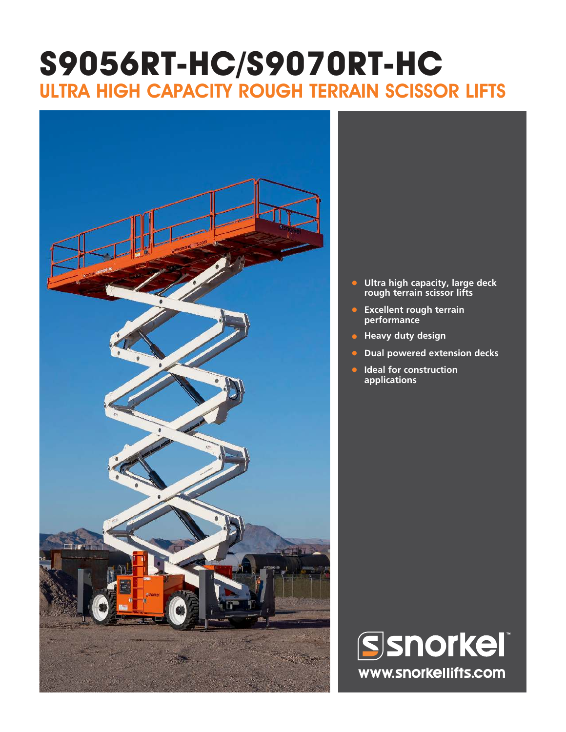# **S9056RT-HC/S9070RT-HC** ULTRA HIGH CAPACITY ROUGH TERRAIN SCISSOR LIFTS



- **• Ultra high capacity, large deck rough terrain scissor lifts**
- **• Excellent rough terrain performance**
- **Heavy duty design**
- **• Dual powered extension decks**
- **• Ideal for construction applications**